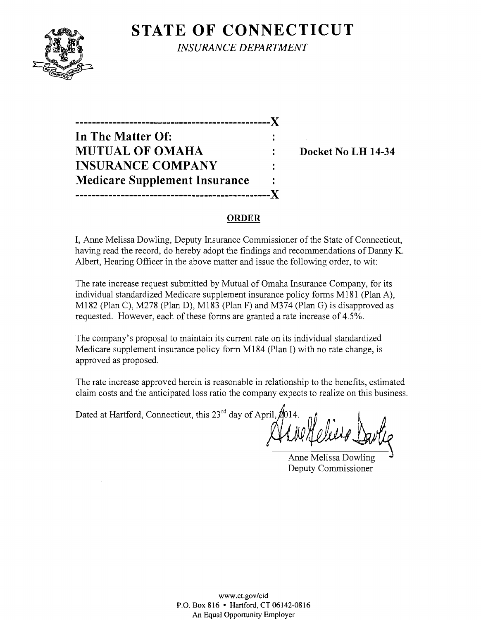# **STATE OF CONNECTICUT**



*INSURANCE DEPARTMENT* 

**-----------------------------------------------)( In The Matter Of: MUTUAL OF OMAHA : Docket No LH 14-34 INSURANCE COMPANY Medicare Supplement Insurance -----------------------------------------------)(** 

#### **ORDER**

I, Anne Melissa Dowling, Deputy Insurance Commissioner of the State of Connecticut, having read the record, do hereby adopt the findings and recommendations of Danny K. Albert, Hearing Officer in the above matter and issue the following order, to wit:

The rate increase request submitted by Mutual of Omaha Insurance Company, for its individual standardized Medicare supplement insurance policy forms MI8I (Plan A), MI82 (Plan C), M278 (Plan D), MI83 (Plan F) and M374 (Plan G) is disapproved as requested. However, each of these forms are granted a rate increase of 4.5%.

The company's proposal to maintain its current rate on its individual standardized Medicare supplement insurance policy form M184 (Plan I) with no rate change, is approved as proposed.

The rate increase approved herein is reasonable in relationship to the benefits, estimated claim costs and the anticipated loss ratio the company expects to realize on this business.

Dated at Hartford, Connecticut, this  $23^{rd}$  day of April,  $\cancel{2014}$ .

Anne Melissa Dowling Deputy Commissioner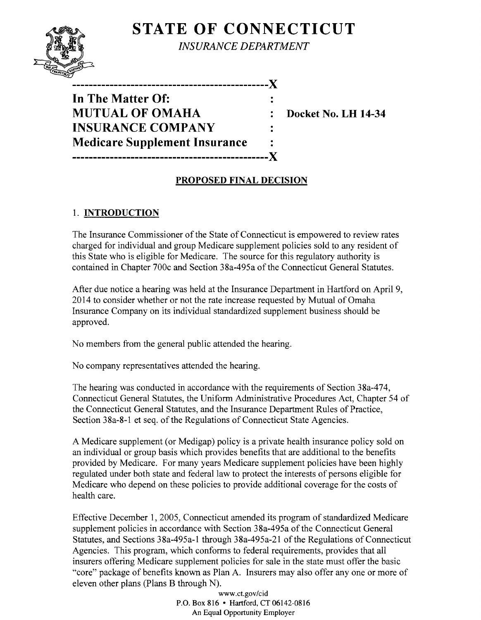# **STATE OF CONNECTICUT**



*INSURANCE DEPARTMENT* 

| In The Matter Of:                    |  |
|--------------------------------------|--|
| <b>MUTUAL OF OMAHA</b>               |  |
| <b>INSURANCE COMPANY</b>             |  |
| <b>Medicare Supplement Insurance</b> |  |
|                                      |  |

**Docket No. LH 14-34** 

### **PROPOSED FINAL DECISION**

## 1. **INTRODUCTION**

The Insurance Commissioner of the State of Connecticut is empowered to review rates charged for individual and group Medicare supplement policies sold to any resident of this State who is eligible for Medicare. The source for this regulatory authority is contained in Chapter 700c and Section 38a-495a of the Connecticut General Statutes.

After due notice a hearing was held at the Insurance Department in Hartford on April 9, 2014 to consider whether or not the rate increase requested by Mutual of Omaha Insurance Company on its individual standardized supplement business should be approved.

No members from the general public attended the hearing.

No company representatives attended the hearing.

The hearing was conducted in accordance with the requirements of Section 38a-474, Connecticut General Statutes, the Uniform Administrative Procedures Act, Chapter 54 of the Connecticut General Statutes, and the Insurance Department Rules of Practice, Section 38a-8-1 et seq. of the Regulations of Connecticut State Agencies.

A Medicare supplement (or Medigap) policy is a private health insurance policy sold on an individual or group basis which provides benefits that are additional to the benefits provided by Medicare. For many years Medicare supplement policies have been highly regulated under both state and federal law to protect the interests of persons eligible for Medicare who depend on these policies to provide additional coverage for the costs of health care.

Effective December 1, 2005, Connecticut amended its program of standardized Medicare supplement policies in accordance with Section 38a-495a of the Connecticut General Statutes, and Sections 38a-495a-l through 38a-495a-21 of the Regulations of Connecticut Agencies. This program, which conforms to federal requirements, provides that all insurers offering Medicare supplement policies for sale in the state must offer the basic "core" package of benefits known as Plan A. Insurers may also offer anyone or more of eleven other plans (Plans B through N).

> www.ct.gov/cid P.O. Box 816 • Hartford, CT 06142-0816 An Equal Opportunity Employer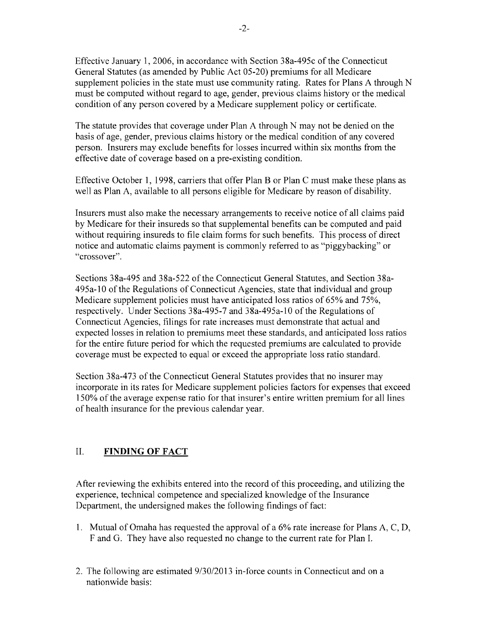Effective January 1, 2006, in accordance with Section 38a-495c of the Connecticut General Statutes (as amended by Public Act 05-20) premiums for all Medicare supplement policies in the state must use community rating. Rates for Plans A through N must be computed without regard to age, gender, previous claims history or the medical condition of any person covered by a Medicare supplement policy or certificate.

The statute provides that coverage under Plan A through N may not be denied on the basis of age, gender, previous claims history or the medical condition of any covered person. Insurers may exclude benefits for losses incurred within six months from the effective date of coverage based on a pre-existing condition.

Effective October 1, 1998, carriers that offer Plan B or Plan C must make these plans as well as Plan A, available to all persons eligible for Medicare by reason of disability.

Insurers must also make the necessary arrangements to receive notice of all claims paid by Medicare for their insureds so that supplemental benefits can be computed and paid without requiring insureds to file claim forms for such benefits. This process of direct notice and automatic claims payment is commonly referred to as "piggybacking" or "crossover".

Sections 38a-495 and 38a-522 of the Connecticut General Statutes, and Section 38a-495a-10 of the Regulations of Connecticut Agencies, state that individual and group Medicare supplement policies must have anticipated loss ratios of 65% and 75%, respectively. Under Sections 38a-495-7 and 38a-495a-10 of the Regulations of Connecticut Agencies, filings for rate increases must demonstrate that actual and expected losses in relation to premiums meet these standards, and anticipated loss ratios for the entire future period for which the requested premiums are calculated to provide coverage must be expected to equal or exceed the appropriate loss ratio standard.

Section 38a-473 of the Connecticut General Statutes provides that no insurer may incorporate in its rates for Medicare supplement policies factors for expenses that exceed 150% of the average expense ratio for that insurer's entire written premium for all lines of health insurance for the previous calendar year.

### II. **FINDING OF FACT**

After reviewing the exhibits entered into the record of this proceeding, and utilizing the experience, technical competence and specialized knowledge of the Insurance Department, the undersigned makes the following findings of fact:

- 1. Mutual of Omaha has requested the approval of a  $6\%$  rate increase for Plans A, C, D, F and G. They have also requested no change to the current rate for Plan 1.
- 2. The following are estimated 9/30/2013 in-force counts in Connecticut and on a nationwide basis: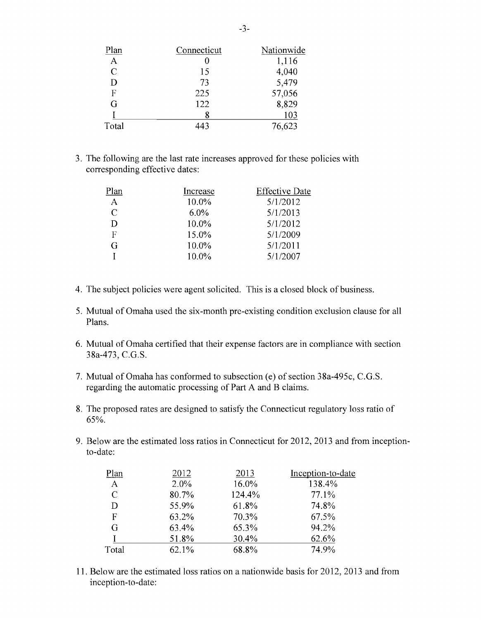| Plan          | Connecticut | Nationwide |
|---------------|-------------|------------|
| A             |             | 1,116      |
| $\mathcal{C}$ | 15          | 4,040      |
| D             | 73          | 5,479      |
| F             | 225         | 57,056     |
| G             | 122         | 8,829      |
|               | 8           | 103        |
| Total         | 443         | 76,623     |

3. The following are the last rate increases approved for these policies with corresponding effective dates:

| Plan         | Increase | <b>Effective Date</b> |
|--------------|----------|-----------------------|
| $\mathbf{A}$ | 10.0%    | 5/1/2012              |
| C            | $6.0\%$  | 5/1/2013              |
| D            | 10.0%    | 5/1/2012              |
| F            | 15.0%    | 5/1/2009              |
| G            | 10.0%    | 5/1/2011              |
|              | 10.0%    | 5/1/2007              |

- 4. The subject policies were agent solicited. This is a closed block of business.
- 5. Mutual of Omaha used the six-month pre-existing condition exclusion clause for all Plans.
- 6. Mutual of Omaha certified that their expense factors are in compliance with section 38a-473, C.G.S.
- 7. Mutual of Omaha has conformed to subsection (e) of section 38a-495c, C.G.S. regarding the automatic processing of Part A and B claims.
- 8. The proposed rates are designed to satisfy the Connecticut regulatory loss ratio of 65%.
- 9. Below are the estimated loss ratios in Connecticut for 2012,2013 and from inceptionto-date:

| Plan         | 2012  | 2013   | Inception-to-date |
|--------------|-------|--------|-------------------|
| $\mathbf{A}$ | 2.0%  | 16.0%  | 138.4%            |
| C            | 80.7% | 124.4% | 77.1%             |
| D            | 55.9% | 61.8%  | 74.8%             |
| F            | 63.2% | 70.3%  | 67.5%             |
| G            | 63.4% | 65.3%  | 94.2%             |
|              | 51.8% | 30.4%  | 62.6%             |
| Total        | 62.1% | 68.8%  | 74.9%             |

11. Below are the estimated loss ratios on a nationwide basis for 2012, 2013 and from inception-to-date: